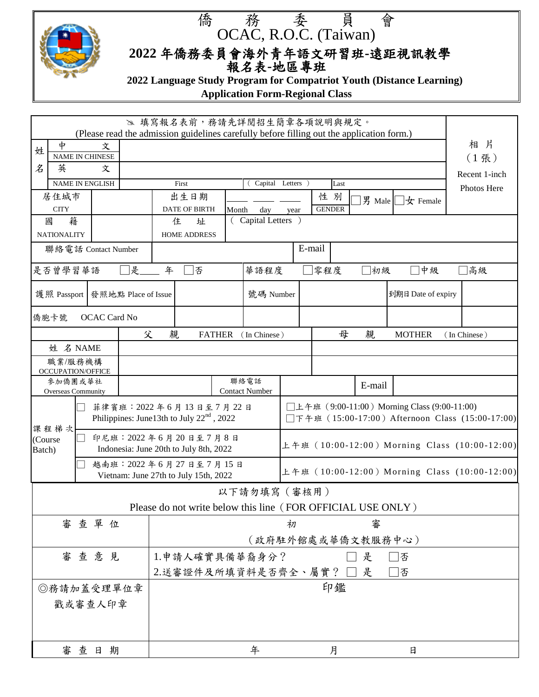

## 僑 務 委 員 會 OCAC, R.O.C. (Taiwan)

 **2022** 年僑務委員會海外青年語文研習班**-**遠距視訊教學 報名表**-**地區專班

 **2022 Language Study Program for Compatriot Youth (Distance Learning)**

**Application Form-Regional Class**

|                                                                                                          |                              |      |                                                                       |                                                                |                                                                                              |  |                                                                                                  | ≥ 填寫報名表前,務請先詳閱招生簡章各項說明與規定。                                  |                    |     |             |   |               |  |              |
|----------------------------------------------------------------------------------------------------------|------------------------------|------|-----------------------------------------------------------------------|----------------------------------------------------------------|----------------------------------------------------------------------------------------------|--|--------------------------------------------------------------------------------------------------|-------------------------------------------------------------|--------------------|-----|-------------|---|---------------|--|--------------|
| (Please read the admission guidelines carefully before filling out the application form.)<br>中<br>文<br>姓 |                              |      |                                                                       |                                                                |                                                                                              |  | 相 片                                                                                              |                                                             |                    |     |             |   |               |  |              |
|                                                                                                          | <b>NAME IN CHINESE</b>       |      |                                                                       |                                                                |                                                                                              |  |                                                                                                  | $(1$ 張)                                                     |                    |     |             |   |               |  |              |
| 名                                                                                                        | 英<br>文                       |      |                                                                       |                                                                |                                                                                              |  |                                                                                                  | Recent 1-inch                                               |                    |     |             |   |               |  |              |
| <b>NAME IN ENGLISH</b>                                                                                   |                              |      |                                                                       | Capital Letters )<br>First<br>Last                             |                                                                                              |  |                                                                                                  |                                                             |                    |     | Photos Here |   |               |  |              |
| 居住城市                                                                                                     |                              | 出生日期 |                                                                       |                                                                | 性 別<br>男 Male<br>$\pm$ Female                                                                |  |                                                                                                  |                                                             |                    |     |             |   |               |  |              |
|                                                                                                          | <b>CITY</b><br>籍<br>國        |      |                                                                       |                                                                | <b>GENDER</b><br><b>DATE OF BIRTH</b><br>Month<br>day<br>year<br>(Capital Letters)<br>住<br>址 |  |                                                                                                  |                                                             |                    |     |             |   |               |  |              |
|                                                                                                          | <b>NATIONALITY</b>           |      |                                                                       |                                                                | HOME ADDRESS                                                                                 |  |                                                                                                  |                                                             |                    |     |             |   |               |  |              |
|                                                                                                          | 聯絡電話 Contact Number          |      |                                                                       |                                                                | E-mail                                                                                       |  |                                                                                                  |                                                             |                    |     |             |   |               |  |              |
| 是否曾學習華語<br>是                                                                                             |                              |      |                                                                       | 年<br>零程度<br>下否<br>華語程度<br>□初級                                  |                                                                                              |  |                                                                                                  | 中級                                                          |                    | ]高級 |             |   |               |  |              |
| 護照 Passport 發照地點 Place of Issue                                                                          |                              |      |                                                                       |                                                                | 號碼 Number                                                                                    |  |                                                                                                  |                                                             | 到期日 Date of expiry |     |             |   |               |  |              |
|                                                                                                          | 僑胞卡號                         |      | <b>OCAC Card No</b>                                                   |                                                                |                                                                                              |  |                                                                                                  |                                                             |                    |     |             |   |               |  |              |
|                                                                                                          |                              |      |                                                                       | 父                                                              | 親                                                                                            |  | <b>FATHER</b>                                                                                    | (In Chinese)                                                |                    |     | 母           | 親 | <b>MOTHER</b> |  | (In Chinese) |
|                                                                                                          | 姓 名 NAME                     |      |                                                                       |                                                                |                                                                                              |  |                                                                                                  |                                                             |                    |     |             |   |               |  |              |
|                                                                                                          | 職業/服務機構                      |      |                                                                       |                                                                |                                                                                              |  |                                                                                                  |                                                             |                    |     |             |   |               |  |              |
|                                                                                                          | OCCUPATION/OFFICE<br>參加僑團或華社 |      |                                                                       |                                                                |                                                                                              |  |                                                                                                  | 聯絡電話                                                        |                    |     |             |   |               |  |              |
| Overseas Community                                                                                       |                              |      |                                                                       | <b>Contact Number</b>                                          |                                                                                              |  |                                                                                                  | E-mail                                                      |                    |     |             |   |               |  |              |
|                                                                                                          |                              |      | 菲律賓班: 2022年6月13日至7月22日<br>Philippines: June13th to July $22nd$ , 2022 |                                                                |                                                                                              |  | □上午班 (9:00-11:00) Morning Class (9:00-11:00)<br>□下午班 (15:00-17:00) Afternoon Class (15:00-17:00) |                                                             |                    |     |             |   |               |  |              |
| (Course<br>Batch)                                                                                        | 課程梯次                         |      |                                                                       | 印尼班: 2022年6月20日至7月8日<br>Indonesia: June 20th to July 8th, 2022 |                                                                                              |  |                                                                                                  | 上午班 (10:00-12:00) Morning Class (10:00-12:00)               |                    |     |             |   |               |  |              |
|                                                                                                          |                              |      |                                                                       | 越南班: 2022年6月27日至7月15日<br>Vietnam: June 27th to July 15th, 2022 |                                                                                              |  |                                                                                                  | 上午班 (10:00-12:00) Morning Class (10:00-12:00)               |                    |     |             |   |               |  |              |
|                                                                                                          |                              |      |                                                                       |                                                                |                                                                                              |  |                                                                                                  | 以下請勿填寫 (審核用)                                                |                    |     |             |   |               |  |              |
|                                                                                                          |                              |      |                                                                       |                                                                |                                                                                              |  |                                                                                                  | Please do not write below this line (FOR OFFICIAL USE ONLY) |                    |     |             |   |               |  |              |
|                                                                                                          |                              |      | 審查單位                                                                  |                                                                |                                                                                              |  |                                                                                                  |                                                             | 初                  |     |             | 審 |               |  |              |
| (政府駐外館處或華僑文教服務中心)                                                                                        |                              |      |                                                                       |                                                                |                                                                                              |  |                                                                                                  |                                                             |                    |     |             |   |               |  |              |
| 審查意見<br>1.申請人確實具備華裔身分?<br>是<br>否                                                                         |                              |      |                                                                       |                                                                |                                                                                              |  |                                                                                                  |                                                             |                    |     |             |   |               |  |              |
| 2.送審證件及所填資料是否齊全、屬實?□<br>是<br>否                                                                           |                              |      |                                                                       |                                                                |                                                                                              |  |                                                                                                  |                                                             |                    |     |             |   |               |  |              |
|                                                                                                          | ◎務請加蓋受理單位章                   |      |                                                                       |                                                                | 印鑑                                                                                           |  |                                                                                                  |                                                             |                    |     |             |   |               |  |              |
|                                                                                                          | 戳或審查人印章                      |      |                                                                       |                                                                |                                                                                              |  |                                                                                                  |                                                             |                    |     |             |   |               |  |              |
|                                                                                                          |                              |      | 審查日期                                                                  |                                                                |                                                                                              |  |                                                                                                  | 年                                                           |                    |     | 月           |   | 日             |  |              |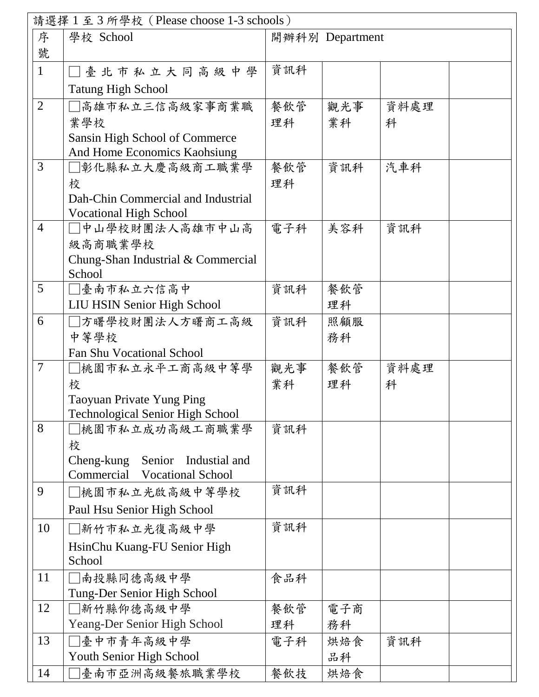|                          | 請選擇 1至3所學校 (Please choose 1-3 schools)       |     |                 |      |
|--------------------------|----------------------------------------------|-----|-----------------|------|
| 序                        | 學校 School                                    |     | 開辦科別 Department |      |
| 號                        |                                              |     |                 |      |
| $\mathbf{1}$             | □臺北市私立大同高級中學                                 | 資訊科 |                 |      |
|                          | <b>Tatung High School</b>                    |     |                 |      |
| $\overline{2}$           | □高雄市私立三信高級家事商業職                              | 餐飲管 | 觀光事             | 資料處理 |
|                          | 業學校                                          | 理科  | 業科              | 科    |
|                          | Sansin High School of Commerce               |     |                 |      |
|                          | And Home Economics Kaohsiung                 |     |                 |      |
| 3                        | □彰化縣私立大慶高級商工職業學                              | 餐飲管 | 資訊科             | 汽車科  |
|                          | 校                                            | 理科  |                 |      |
|                          | Dah-Chin Commercial and Industrial           |     |                 |      |
|                          | <b>Vocational High School</b>                |     |                 |      |
| $\overline{4}$           | □中山學校財團法人高雄市中山高                              | 電子科 | 美容科             | 資訊科  |
|                          | 級高商職業學校                                      |     |                 |      |
|                          | Chung-Shan Industrial & Commercial<br>School |     |                 |      |
| 5                        | □臺南市私立六信高中                                   | 資訊科 | 餐飲管             |      |
|                          | <b>LIU HSIN Senior High School</b>           |     | 理科              |      |
| 6                        | ]方曙學校財團法人方曙商工高級                              | 資訊科 | 照顧服             |      |
|                          | 中等學校                                         |     | 務科              |      |
|                          | <b>Fan Shu Vocational School</b>             |     |                 |      |
| $\overline{\mathcal{L}}$ | □桃園市私立永平工商高級中等學                              | 觀光事 | 餐飲管             | 資料處理 |
|                          | 校                                            | 業科  | 理科              | 科    |
|                          | Taoyuan Private Yung Ping                    |     |                 |      |
|                          | <b>Technological Senior High School</b>      |     |                 |      |
| 8                        | ]桃園市私立成功高級工商職業學                              | 資訊科 |                 |      |
|                          | 校                                            |     |                 |      |
|                          | Industial and<br>Cheng-kung<br>Senior        |     |                 |      |
|                          | Commercial Vocational School                 |     |                 |      |
| 9                        | □桃園市私立光啟高級中等學校                               | 資訊科 |                 |      |
|                          | Paul Hsu Senior High School                  |     |                 |      |
| 10                       | □新竹市私立光復高級中學                                 | 資訊科 |                 |      |
|                          | HsinChu Kuang-FU Senior High                 |     |                 |      |
|                          | School                                       |     |                 |      |
| 11                       | 南投縣同德高級中學                                    | 食品科 |                 |      |
|                          | Tung-Der Senior High School                  |     |                 |      |
| 12                       | 新竹縣仰德高級中學                                    | 餐飲管 | 電子商             |      |
|                          | Yeang-Der Senior High School                 | 理科  | 務科              |      |
| 13                       | □臺中市青年高級中學                                   | 電子科 | 烘焙食             | 資訊科  |
|                          | Youth Senior High School                     |     | 品科              |      |
| 14                       | 臺南市亞洲高級餐旅職業學校                                | 餐飲技 | 烘焙食             |      |